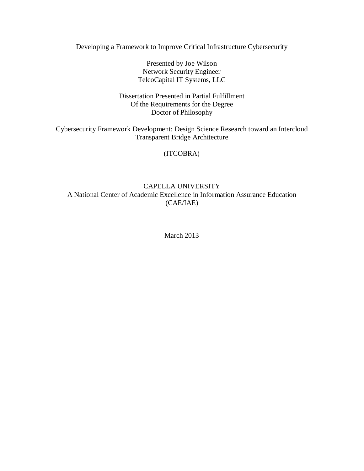Developing a Framework to Improve Critical Infrastructure Cybersecurity

 Presented by Joe Wilson Network Security Engineer TelcoCapital IT Systems, LLC

 Dissertation Presented in Partial Fulfillment Of the Requirements for the Degree Doctor of Philosophy

 Cybersecurity Framework Development: Design Science Research toward an Intercloud Transparent Bridge Architecture

(ITCOBRA)

# A National Center of Academic Excellence in Information Assurance Education CAPELLA UNIVERSITY (CAE/IAE)

March 2013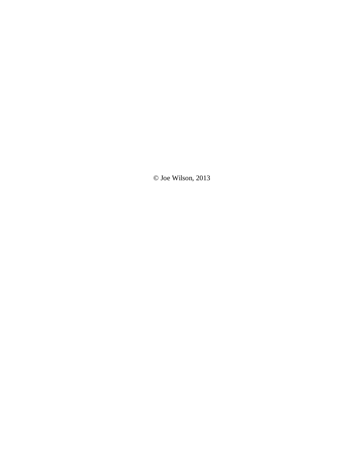© Joe Wilson, 2013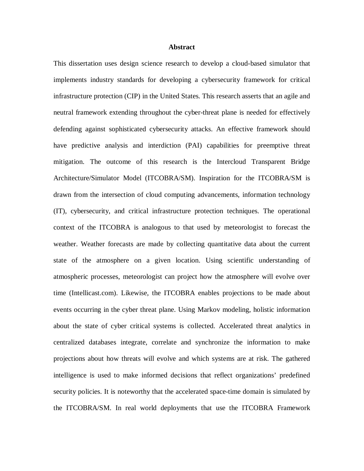#### **Abstract**

 This dissertation uses design science research to develop a cloud-based simulator that implements industry standards for developing a cybersecurity framework for critical infrastructure protection (CIP) in the United States. This research asserts that an agile and neutral framework extending throughout the cyber-threat plane is needed for effectively defending against sophisticated cybersecurity attacks. An effective framework should have predictive analysis and interdiction (PAI) capabilities for preemptive threat mitigation. The outcome of this research is the Intercloud Transparent Bridge Architecture/Simulator Model (ITCOBRA/SM). Inspiration for the ITCOBRA/SM is drawn from the intersection of cloud computing advancements, information technology (IT), cybersecurity, and critical infrastructure protection techniques. The operational context of the ITCOBRA is analogous to that used by meteorologist to forecast the weather. Weather forecasts are made by collecting quantitative data about the current state of the atmosphere on a given location. Using scientific understanding of atmospheric processes, meteorologist can project how the atmosphere will evolve over time (Intellicast.com). Likewise, the ITCOBRA enables projections to be made about events occurring in the cyber threat plane. Using Markov modeling, holistic information about the state of cyber critical systems is collected. Accelerated threat analytics in centralized databases integrate, correlate and synchronize the information to make projections about how threats will evolve and which systems are at risk. The gathered intelligence is used to make informed decisions that reflect organizations' predefined security policies. It is noteworthy that the accelerated space-time domain is simulated by the ITCOBRA/SM. In real world deployments that use the ITCOBRA Framework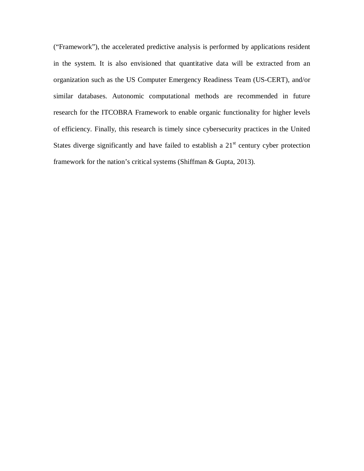("Framework"), the accelerated predictive analysis is performed by applications resident in the system. It is also envisioned that quantitative data will be extracted from an organization such as the US Computer Emergency Readiness Team (US-CERT), and/or similar databases. Autonomic computational methods are recommended in future research for the ITCOBRA Framework to enable organic functionality for higher levels of efficiency. Finally, this research is timely since cybersecurity practices in the United States diverge significantly and have failed to establish a  $21<sup>st</sup>$  century cyber protection framework for the nation's critical systems (Shiffman & Gupta, 2013).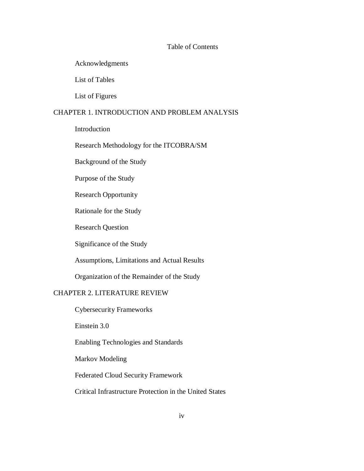#### Table of Contents

# Acknowledgments

List of Tables

List of Figures

# CHAPTER 1. INTRODUCTION AND PROBLEM ANALYSIS

Introduction

#### Research Methodology for the ITCOBRA/SM

Background of the Study

Purpose of the Study

Research Opportunity

Rationale for the Study

Research Question

Significance of the Study

Assumptions, Limitations and Actual Results

Organization of the Remainder of the Study

### CHAPTER 2. LITERATURE REVIEW

Cybersecurity Frameworks

Einstein 3.0

Enabling Technologies and Standards

Markov Modeling

Federated Cloud Security Framework

Critical Infrastructure Protection in the United States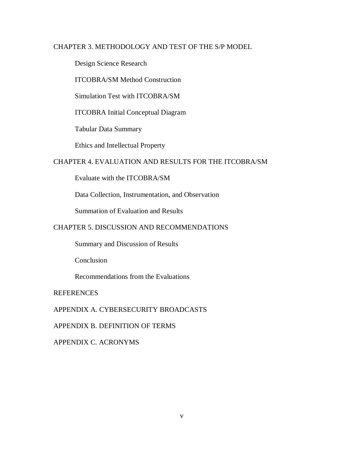# CHAPTER 3. METHODOLOGY AND TEST OF THE S/P MODEL

Design Science Research

ITCOBRA/SM Method Construction

Simulation Test with ITCOBRA/SM

ITCOBRA Initial Conceptual Diagram

Tabular Data Summary

Ethics and Intellectual Property

### CHAPTER 4. EVALUATION AND RESULTS FOR THE ITCOBRA/SM

Evaluate with the ITCOBRA/SM

Data Collection, Instrumentation, and Observation

Summation of Evaluation and Results

### CHAPTER 5. DISCUSSION AND RECOMMENDATIONS

Summary and Discussion of Results

Conclusion

Recommendations from the Evaluations

**REFERENCES** 

APPENDIX A. CYBERSECURITY BROADCASTS

APPENDIX B. DEFINITION OF TERMS

APPENDIX C. ACRONYMS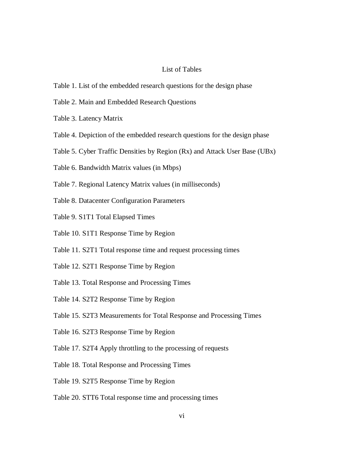#### List of Tables

- Table 1. List of the embedded research questions for the design phase
- Table 2. Main and Embedded Research Questions
- Table 3. Latency Matrix
- Table 4. Depiction of the embedded research questions for the design phase
- Table 5. Cyber Traffic Densities by Region (Rx) and Attack User Base (UBx)
- Table 6. Bandwidth Matrix values (in Mbps)
- Table 7. Regional Latency Matrix values (in milliseconds)
- Table 8. Datacenter Configuration Parameters
- Table 9. S1T1 Total Elapsed Times
- Table 10. S1T1 Response Time by Region
- Table 11. S2T1 Total response time and request processing times
- Table 12. S2T1 Response Time by Region
- Table 13. Total Response and Processing Times
- Table 14. S2T2 Response Time by Region
- Table 15. S2T3 Measurements for Total Response and Processing Times
- Table 16. S2T3 Response Time by Region
- Table 17. S2T4 Apply throttling to the processing of requests
- Table 18. Total Response and Processing Times
- Table 19. S2T5 Response Time by Region
- Table 20. STT6 Total response time and processing times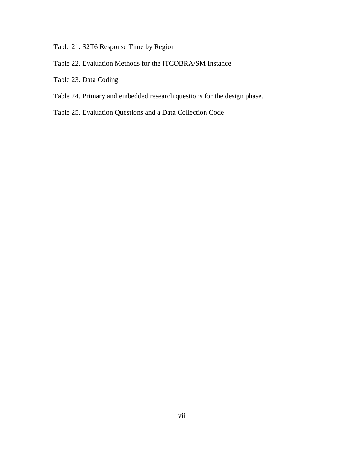Table 21. S2T6 Response Time by Region

- Table 22. Evaluation Methods for the ITCOBRA/SM Instance
- Table 23. Data Coding
- Table 24. Primary and embedded research questions for the design phase.
- Table 25. Evaluation Questions and a Data Collection Code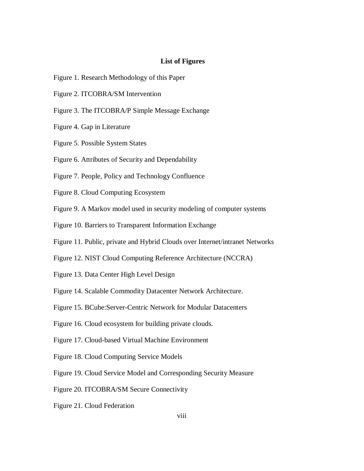#### **List of Figures**

- Figure 1. Research Methodology of this Paper
- Figure 2. ITCOBRA/SM Intervention
- Figure 3. The ITCOBRA/P Simple Message Exchange
- Figure 4. Gap in Literature
- Figure 5. Possible System States
- Figure 6. Attributes of Security and Dependability
- Figure 7. People, Policy and Technology Confluence
- Figure 8. Cloud Computing Ecosystem
- Figure 9. A Markov model used in security modeling of computer systems
- Figure 10. Barriers to Transparent Information Exchange
- Figure 11. Public, private and Hybrid Clouds over Internet/intranet Networks
- Figure 12. NIST Cloud Computing Reference Architecture (NCCRA)
- Figure 13. Data Center High Level Design
- Figure 14. Scalable Commodity Datacenter Network Architecture.
- Figure 15. BCube: Server-Centric Network for Modular Datacenters
- Figure 16. Cloud ecosystem for building private clouds.
- Figure 17. Cloud-based Virtual Machine Environment
- Figure 18. Cloud Computing Service Models
- Figure 19. Cloud Service Model and Corresponding Security Measure
- Figure 20. ITCOBRA/SM Secure Connectivity
- Figure 21. Cloud Federation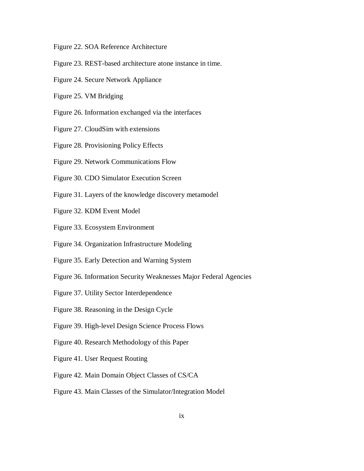Figure 22. SOA Reference Architecture

- Figure 23. REST-based architecture atone instance in time.
- Figure 24. Secure Network Appliance
- Figure 25. VM Bridging
- Figure 26. Information exchanged via the interfaces
- Figure 27. CloudSim with extensions
- Figure 28. Provisioning Policy Effects
- Figure 29. Network Communications Flow
- Figure 30. CDO Simulator Execution Screen
- Figure 31. Layers of the knowledge discovery metamodel
- Figure 32. KDM Event Model
- Figure 33. Ecosystem Environment
- Figure 34. Organization Infrastructure Modeling
- Figure 35. Early Detection and Warning System
- Figure 36. Information Security Weaknesses Major Federal Agencies
- Figure 37. Utility Sector Interdependence
- Figure 38. Reasoning in the Design Cycle
- Figure 39. High-level Design Science Process Flows
- Figure 40. Research Methodology of this Paper
- Figure 41. User Request Routing
- Figure 42. Main Domain Object Classes of CS/CA
- Figure 43. Main Classes of the Simulator/Integration Model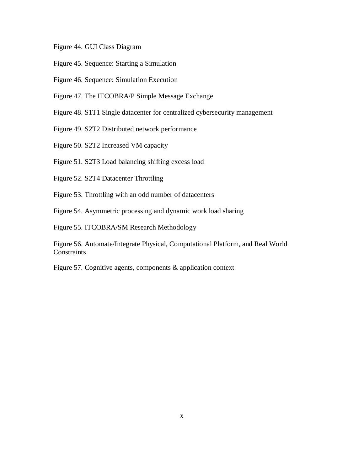- Figure 44. GUI Class Diagram
- Figure 45. Sequence: Starting a Simulation
- Figure 46. Sequence: Simulation Execution
- Figure 47. The ITCOBRA/P Simple Message Exchange
- Figure 48. S1T1 Single datacenter for centralized cybersecurity management
- Figure 49. S2T2 Distributed network performance
- Figure 50. S2T2 Increased VM capacity
- Figure 51. S2T3 Load balancing shifting excess load
- Figure 52. S2T4 Datacenter Throttling
- Figure 53. Throttling with an odd number of datacenters
- Figure 54. Asymmetric processing and dynamic work load sharing
- Figure 55. ITCOBRA/SM Research Methodology

 Figure 56. Automate/Integrate Physical, Computational Platform, and Real World **Constraints** 

Figure 57. Cognitive agents, components & application context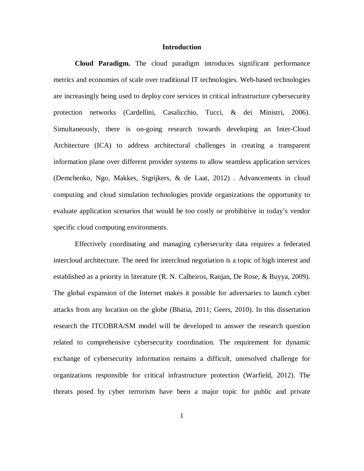#### **Introduction**

 **Cloud Paradigm.** The cloud paradigm introduces significant performance metrics and economies of scale over traditional IT technologies. Web-based technologies are increasingly being used to deploy core services in critical infrastructure cybersecurity protection networks (Cardellini, Casalicchio, Tucci, & dei Ministri, 2006). Simultaneously, there is on-going research towards developing an Inter-Cloud Architecture (ICA) to address architectural challenges in creating a transparent information plane over different provider systems to allow seamless application services (Demchenko, Ngo, Makkes, Stgrijkers, & de Laat, 2012) . Advancements in cloud computing and cloud simulation technologies provide organizations the opportunity to evaluate application scenarios that would be too costly or prohibitive in today's vendor specific cloud computing environments.

 Effectively coordinating and managing cybersecurity data requires a federated intercloud architecture. The need for intercloud negotiation is a topic of high interest and established as a priority in literature (R. N. Calheiros, Ranjan, De Rose, & Buyya, 2009). The global expansion of the Internet makes it possible for adversaries to launch cyber attacks from any location on the globe (Bhatia, 2011; Geers, 2010). In this dissertation research the ITCOBRA/SM model will be developed to answer the research question related to comprehensive cybersecurity coordination. The requirement for dynamic exchange of cybersecurity information remains a difficult, unresolved challenge for organizations responsible for critical infrastructure protection (Warfield, 2012). The threats posed by cyber terrorism have been a major topic for public and private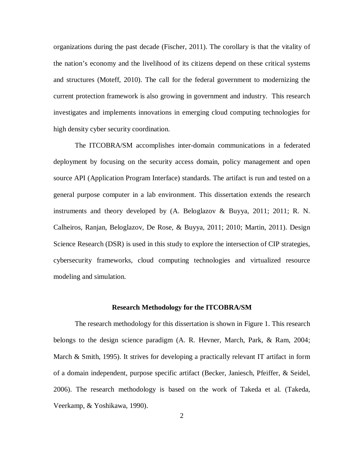organizations during the past decade (Fischer, 2011). The corollary is that the vitality of the nation's economy and the livelihood of its citizens depend on these critical systems and structures (Moteff, 2010). The call for the federal government to modernizing the current protection framework is also growing in government and industry. This research investigates and implements innovations in emerging cloud computing technologies for high density cyber security coordination.

 The ITCOBRA/SM accomplishes inter-domain communications in a federated deployment by focusing on the security access domain, policy management and open source API (Application Program Interface) standards. The artifact is run and tested on a general purpose computer in a lab environment. This dissertation extends the research instruments and theory developed by (A. Beloglazov & Buyya, 2011; 2011; R. N. Calheiros, Ranjan, Beloglazov, De Rose, & Buyya, 2011; 2010; Martin, 2011). Design Science Research (DSR) is used in this study to explore the intersection of CIP strategies, cybersecurity frameworks, cloud computing technologies and virtualized resource modeling and simulation.

#### **Research Methodology for the ITCOBRA/SM**

 The research methodology for this dissertation is shown in Figure 1. This research belongs to the design science paradigm (A. R. Hevner, March, Park, & Ram, 2004; March & Smith, 1995). It strives for developing a practically relevant IT artifact in form of a domain independent, purpose specific artifact (Becker, Janiesch, Pfeiffer, & Seidel, 2006). The research methodology is based on the work of Takeda et al. (Takeda, Veerkamp, & Yoshikawa, 1990).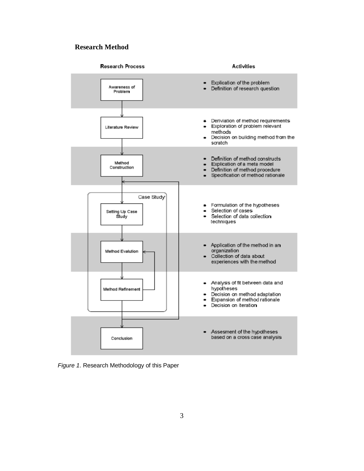#### **Research Method**



Figure 1. Research Methodology of this Paper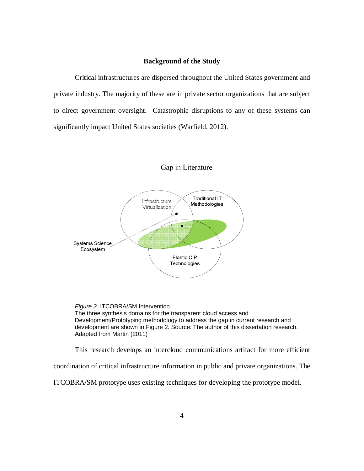#### **Background of the Study**

 Critical infrastructures are dispersed throughout the United States government and private industry. The majority of these are in private sector organizations that are subject to direct government oversight. Catastrophic disruptions to any of these systems can significantly impact United States societies (Warfield, 2012).



 The three synthesis domains for the transparent cloud access and Development/Prototyping methodology to address the gap in current research and development are shown in Figure 2. Source: The author of this dissertation research. Adapted from Martin (2011) Figure 2. ITCOBRA/SM Intervention

This research develops an intercloud communications artifact for more efficient

coordination of critical infrastructure information in public and private organizations. The

ITCOBRA/SM prototype uses existing techniques for developing the prototype model.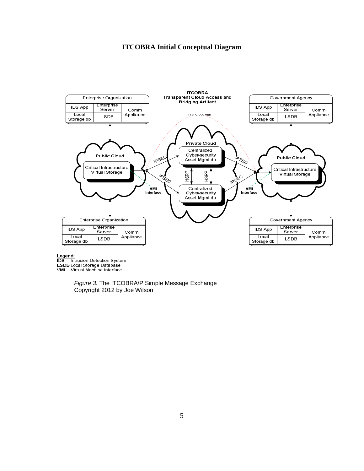#### **ITCOBRA Initial Conceptual Diagram**



#### Legend:

**IDS** Intrusion Detection System LSDB Local Storage Database VMI Virtual Machine Interface

> Figure 3. The ITCOBRA/P Simple Message Exchange Copyright 2012 by Joe Wilson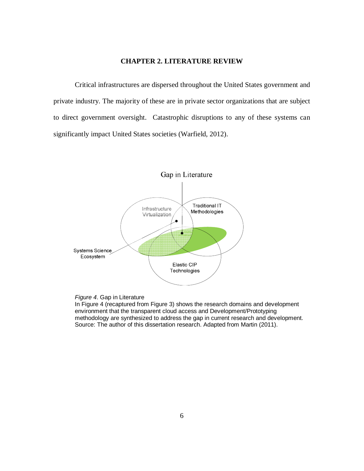#### **CHAPTER 2. LITERATURE REVIEW**

 Critical infrastructures are dispersed throughout the United States government and private industry. The majority of these are in private sector organizations that are subject to direct government oversight. Catastrophic disruptions to any of these systems can significantly impact United States societies (Warfield, 2012).





 In Figure 4 (recaptured from Figure 3) shows the research domains and development environment that the transparent cloud access and Development/Prototyping methodology are synthesized to address the gap in current research and development. Source: The author of this dissertation research. Adapted from Martin (2011).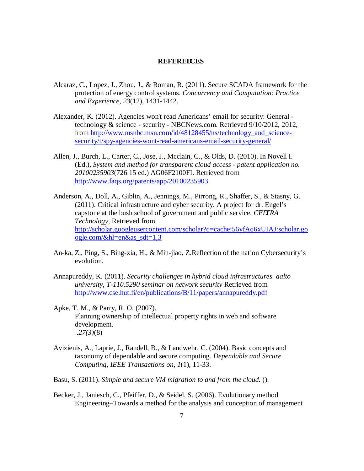#### **REFERE** CES

- Alcaraz, C., Lopez, J., Zhou, J., & Roman, R. (2011). Secure SCADA framework for the protection of energy control systems. *Concurrency and Computation: Practice and Experience, 23*(12), 1431-1442.
- Alexander, K. (2012). Agencies won't read Americans' email for security: General technology & science - security - NBCNews.com. Retrieved 9/10/2012, 2012, security/t/spy-agencies-wont-read-americans-email-security-general/ from http://www.msnbc.msn.com/id/48128455/ns/technology and science-
- security/t/spy-agencies-wont-read-americans-email-security-general/<br>Allen, J., Burch, L., Carter, C., Jose, J., Mcclain, C., & Olds, D. (2010). In Novell I.  (Ed.), *System and method for transparent cloud access - patent application no. 20100235903*(726 15 ed.) AG06F2100FI. Retrieved from http://www.faqs.org/patents/app/20100235903 http://www.faqs.org/patents/app/20100235903<br>Anderson, A., Doll, A., Giblin, A., Jennings, M., Pirrong, R., Shaffer, S., & Stasny, G.
- (2011). Critical infrastructure and cyber security. A project for dr. Engel's capstone at the bush school of government and public service. *CE TRA Technology,* Retrieved from ogle.com/ $\&$ hl=en $\&$ as\_sdt=1,3 ogle.com/&hl=en&as\_sdt=1,3<br>An-ka, Z., Ping, S., Bing-xia, H., & Min-jiao, Z.Reflection of the nation Cybersecurity's http://scholar.googleusercontent.com/scholar?q=cache:56yfAq6xUIAJ:scholar.go
- evolution. evolution. Annapureddy, K. (2011). *Security challenges in hybrid cloud infrastructures. aalto*
- *university, T-110.5290 seminar on network security* Retrieved from http://www.cse.hut.fi/en/publications/B/11/papers/annapureddy.pdf<br>Apke, T. M., & Parry, R. O. (2007).
- Apke, T. M., & Parry, R. O. (2007). Planning ownership of intellectual property rights in web and software development. .*27(3)*(8)  $.27(3)(8)$
- Avizienis, A., Laprie, J., Randell, B., & Landwehr, C. (2004). Basic concepts and taxonomy of dependable and secure computing. *Dependable and Secure Computing, IEEE Transactions on, 1*(1), 11-33.
- Basu, S. (2011). *Simple and secure VM migration to and from the cloud.* ().
- Becker, J., Janiesch, C., Pfeiffer, D., & Seidel, S. (2006). Evolutionary method Engineering–Towards a method for the analysis and conception of management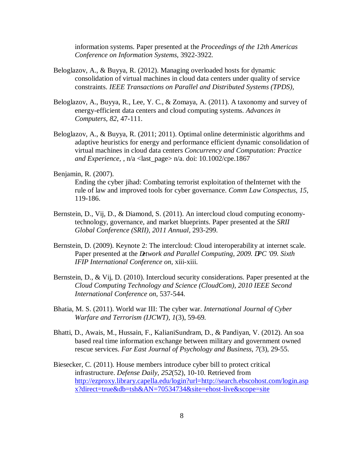information systems. Paper presented at the *Proceedings of the 12th Americas Conference on Information Systems,* 3922-3922.

- Beloglazov, A., & Buyya, R. (2012). Managing overloaded hosts for dynamic consolidation of virtual machines in cloud data centers under quality of service  constraints. *IEEE Transactions on Parallel and Distributed Systems (TPDS),*
- Beloglazov, A., Buyya, R., Lee, Y. C., & Zomaya, A. (2011). A taxonomy and survey of energy-efficient data centers and cloud computing systems. *Advances in Computers, 82*, 47-111.
- Beloglazov, A., & Buyya, R. (2011; 2011). Optimal online deterministic algorithms and adaptive heuristics for energy and performance efficient dynamic consolidation of virtual machines in cloud data centers *Concurrency and Computation: Practice and Experience,* , n/a <last\_page> n/a. doi: 10.1002/cpe.1867

### Benjamin, R. (2007).

 Ending the cyber jihad: Combating terrorist exploitation of theInternet with the rule of law and improved tools for cyber governance. *Comm Law Conspectus, 15*, 119-186.

- 119-186. Bernstein, D., Vij, D., & Diamond, S. (2011). An intercloud cloud computing economy- technology, governance, and market blueprints. Paper presented at the *SRII Global Conference (SRII), 2011 Annual,* 293-299.
- Bernstein, D. (2009). Keynote 2: The intercloud: Cloud interoperability at internet scale. Paper presented at the *etwork and Parallel Computing, 2009.* PC '09. Sixth  *IFIP International Conference on,* xiii-xiii.
- Bernstein, D., & Vij, D. (2010). Intercloud security considerations. Paper presented at the  *Cloud Computing Technology and Science (CloudCom), 2010 IEEE Second International Conference on,* 537-544.
- Bhatia, M. S. (2011). World war III: The cyber war. *International Journal of Cyber Warfare and Terrorism (IJCWT), 1*(3), 59-69.
- Bhatti, D., Awais, M., Hussain, F., KalianiSundram, D., & Pandiyan, V. (2012). An soa based real time information exchange between military and government owned  rescue services. *Far East Journal of Psychology and Business, 7*(3), 29-55.
- Biesecker, C. (2011). House members introduce cyber bill to protect critical  infrastructure. *Defense Daily, 252*(52), 10-10. Retrieved from x?direct=true&db=tsh&AN=70534734&site=ehost-live&scope=site 8 http://ezproxy.library.capella.edu/login?url=http://search.ebscohost.com/login.asp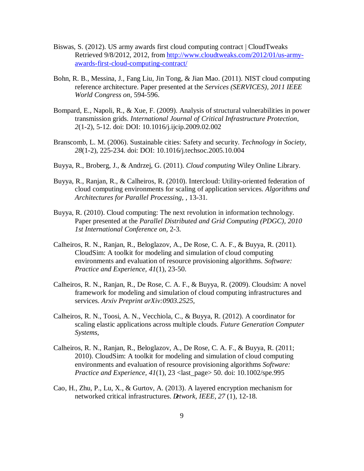- Biswas, S. (2012). US army awards first cloud computing contract | CloudTweaks Retrieved 9/8/2012, 2012, from http://www.cloudtweaks.com/2012/01/us-armyawards-first-cloud-computing-contract/ awards-first-cloud-computing-contract/<br>Bohn, R. B., Messina, J., Fang Liu, Jin Tong, & Jian Mao. (2011). NIST cloud computing
- reference architecture. Paper presented at the *Services (SERVICES), 2011 IEEE World Congress on,* 594-596.
- Bompard, E., Napoli, R., & Xue, F. (2009). Analysis of structural vulnerabilities in power  transmission grids. *International Journal of Critical Infrastructure Protection, 2*(1-2), 5-12. doi: DOI: 10.1016/j.ijcip.2009.02.002
- Branscomb, L. M. (2006). Sustainable cities: Safety and security. *Technology in Society, 28*(1-2), 225-234. doi: DOI: 10.1016/j.techsoc.2005.10.004
- Buyya, R., Broberg, J., & Andrzej, G. (2011). *Cloud computing* Wiley Online Library.
- Buyya, R., Ranjan, R., & Calheiros, R. (2010). Intercloud: Utility-oriented federation of cloud computing environments for scaling of application services. *Algorithms and Architectures for Parallel Processing,* , 13-31.
- Buyya, R. (2010). Cloud computing: The next revolution in information technology. Paper presented at the *Parallel Distributed and Grid Computing (PDGC), 2010 1st International Conference on,* 2-3.
- Calheiros, R. N., Ranjan, R., Beloglazov, A., De Rose, C. A. F., & Buyya, R. (2011). CloudSim: A toolkit for modeling and simulation of cloud computing environments and evaluation of resource provisioning algorithms. *Software: Practice and Experience, 41*(1), 23-50.
- Calheiros, R. N., Ranjan, R., De Rose, C. A. F., & Buyya, R. (2009). Cloudsim: A novel framework for modeling and simulation of cloud computing infrastructures and  services. *Arxiv Preprint arXiv:0903.2525,*
- Calheiros, R. N., Toosi, A. N., Vecchiola, C., & Buyya, R. (2012). A coordinator for scaling elastic applications across multiple clouds. *Future Generation Computer Systems,*
- Calheiros, R. N., Ranjan, R., Beloglazov, A., De Rose, C. A. F., & Buyya, R. (2011; 2010). CloudSim: A toolkit for modeling and simulation of cloud computing environments and evaluation of resource provisioning algorithms *Software: Practice and Experience, 41*(1), 23 <last\_page> 50. doi: 10.1002/spe.995
- Cao, H., Zhu, P., Lu, X., & Gurtov, A. (2013). A layered encryption mechanism for networked critical infrastructures. *etwork, IEEE, 27*(1), 12-18.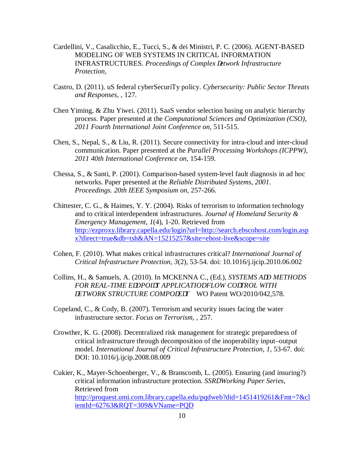- Cardellini, V., Casalicchio, E., Tucci, S., & dei Ministri, P. C. (2006). AGENT-BASED MODELING OF WEB SYSTEMS IN CRITICAL INFORMATION INFRASTRUCTURES. Proceedings of Complex etwork Infrastructure *Protection,*
- Castro, D. (2011). uS federal cyberSecuriTy policy. *Cybersecurity: Public Sector Threats and Responses,* , 127.
- Chen Yiming, & Zhu Yiwei. (2011). SaaS vendor selection basing on analytic hierarchy process. Paper presented at the *Computational Sciences and Optimization (CSO), 2011 Fourth International Joint Conference on,* 511-515.
- Chen, S., Nepal, S., & Liu, R. (2011). Secure connectivity for intra-cloud and inter-cloud communication. Paper presented at the *Parallel Processing Workshops (ICPPW), 2011 40th International Conference on,* 154-159.
- Chessa, S., & Santi, P. (2001). Comparison-based system-level fault diagnosis in ad hoc networks. Paper presented at the *Reliable Distributed Systems, 2001. Proceedings. 20th IEEE Symposium on,* 257-266.
- Chittester, C. G., & Haimes, Y. Y. (2004). Risks of terrorism to information technology and to critical interdependent infrastructures. *Journal of Homeland Security & Emergency Management, 1*(4), 1-20. Retrieved from x?direct=true&db=tsh&AN=15215257&site=ehost-live&scope=site http://ezproxy.library.capella.edu/login?url=http://search.ebscohost.com/login.asp
- x?direct=true&db=tsh&AN=15215257&site=ehost-live&scope=site Cohen, F. (2010). What makes critical infrastructures critical? *International Journal of Critical Infrastructure Protection, 3*(2), 53-54. doi: 10.1016/j.ijcip.2010.06.002
- Collins, H., & Samuels, A. (2010). In MCKENNA C., (Ed.), *SYSTEMS A D METHODS* FOR REAL-TIME E DPOI T APPLICATIO FLOW CO TROL WITH *ETWORK STRUCTURE COMPO E T* WO Patent WO/2010/042,578.
- Copeland, C., & Cody, B. (2007). Terrorism and security issues facing the water  infrastructure sector. *Focus on Terrorism,* , 257.
- Crowther, K. G. (2008). Decentralized risk management for strategic preparedness of critical infrastructure through decomposition of the inoperability input–output  model. *International Journal of Critical Infrastructure Protection, 1*, 53-67. doi: DOI: 10.1016/j.iicip.2008.08.009 DOI: 10.1016/j.ijcip.2008.08.009<br>Cukier, K., Mayer-Schoenberger, V., & Branscomb, L. (2005). Ensuring (and insuring?)
- critical information infrastructure protection. *SSR Working Paper Series*, Retrieved from ientId=62763&RQT=309&VName=PQD 10 http://proquest.umi.com.library.capella.edu/pqdweb?did=1451419261&Fmt=7&cl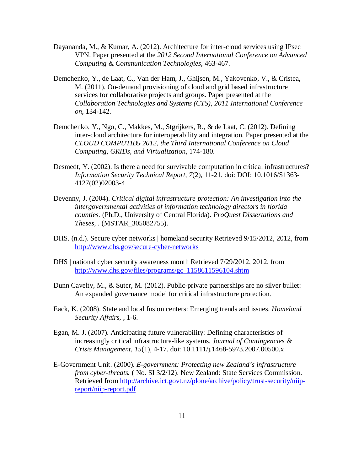- Dayananda, M., & Kumar, A. (2012). Architecture for inter-cloud services using IPsec VPN. Paper presented at the *2012 Second International Conference on Advanced Computing & Communication Technologies,* 463-467.
- Demchenko, Y., de Laat, C., Van der Ham, J., Ghijsen, M., Yakovenko, V., & Cristea, M. (2011). On-demand provisioning of cloud and grid based infrastructure services for collaborative projects and groups. Paper presented at the  *Collaboration Technologies and Systems (CTS), 2011 International Conference*  on, 134-142. *on,* 134-142. Demchenko, Y., Ngo, C., Makkes, M., Stgrijkers, R., & de Laat, C. (2012). Defining
- inter-cloud architecture for interoperability and integration. Paper presented at the **CLOUD COMPUTI** G 2012, the Third International Conference on Cloud  *Computing, GRIDs, and Virtualization,* 174-180.
- Desmedt, Y. (2002). Is there a need for survivable computation in critical infrastructures?  *Information Security Technical Report, 7*(2), 11-21. doi: DOI: 10.1016/S1363- 4127(02)02003-4
- 4127(02)02003-4 Devenny, J. (2004). *Critical digital infrastructure protection: An investigation into the intergovernmental activities of information technology directors in florida counties.* (Ph.D., University of Central Florida). *ProQuest Dissertations and*  Theses, . (MSTAR\_305082755).
- *Theses, .* (MSTAR\_305082755).<br>DHS. (n.d.). Secure cyber networks | homeland security Retrieved 9/15/2012, 2012, from http://www.dhs.gov/secure-cyber-networks http://www.dhs.gov/secure-cyber-networks<br>DHS | national cyber security awareness month Retrieved 7/29/2012, 2012, from
- http://www.dhs.gov/files/programs/gc\_1158611596104.shtm
- http://www.dhs.gov/files/programs/gc\_1158611596104.shtm<br>Dunn Cavelty, M., & Suter, M. (2012). Public-private partnerships are no silver bullet: An expanded governance model for critical infrastructure protection.
- Eack, K. (2008). State and local fusion centers: Emerging trends and issues. *Homeland Security Affairs,* , 1-6.
- Egan, M. J. (2007). Anticipating future vulnerability: Defining characteristics of increasingly critical infrastructure-like systems. *Journal of Contingencies & Crisis Management, 15*(1), 4-17. doi: 10.1111/j.1468-5973.2007.00500.x
- E-Government Unit. (2000). *E-government: Protecting new Zealand's infrastructure from cyber-threats.* ( No. SI 3/2/12). New Zealand: State Services Commission. Retrieved from http://archive.ict.govt.nz/plone/archive/policy/trust-security/niip-report/niip-report.pdf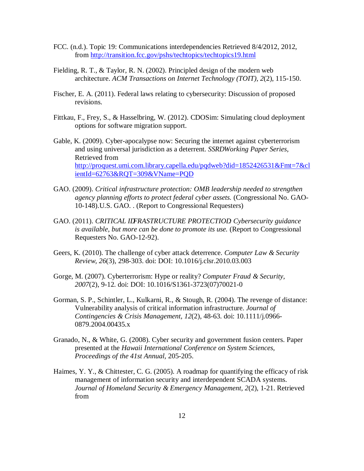- FCC. (n.d.). Topic 19: Communications interdependencies Retrieved 8/4/2012, 2012, from http://transition.fcc.gov/pshs/techtopics/techtopics19.html
- Fielding, R. T., & Taylor, R. N. (2002). Principled design of the modern web  architecture. *ACM Transactions on Internet Technology (TOIT), 2*(2), 115-150.
- Fischer, E. A. (2011). Federal laws relating to cybersecurity: Discussion of proposed revisions.
- Fittkau, F., Frey, S., & Hasselbring, W. (2012). CDOSim: Simulating cloud deployment options for software migration support.
- Gable, K. (2009). Cyber-apocalypse now: Securing the internet against cyberterrorism and using universal jurisdiction as a deterrent. *SSR Working Paper Series*, Retrieved from ientId=62763&RQT=309&VName=PQD ientId=62763&RQT=309&VName=PQD GAO. (2009). *Critical infrastructure protection: OMB leadership needed to strengthen*  http://proquest.umi.com.library.capella.edu/pqdweb?did=1852426531&Fmt=7&cl
- *agency planning efforts to protect federal cyber assets.* (Congressional No. GAO-10-148).U.S. GAO. . (Report to Congressional Requesters)
- GAO. (2011). *CRITICAL I FRASTRUCTURE PROTECTIO : Cybersecurity guidance is available, but more can be done to promote its use.* (Report to Congressional Requesters No. GAO-12-92).
- Geers, K. (2010). The challenge of cyber attack deterrence. *Computer Law & Security Review, 26*(3), 298-303. doi: DOI: 10.1016/j.clsr.2010.03.003
- Gorge, M. (2007). Cyberterrorism: Hype or reality? *Computer Fraud & Security, 2007*(2), 9-12. doi: DOI: 10.1016/S1361-3723(07)70021-0
- Gorman, S. P., Schintler, L., Kulkarni, R., & Stough, R. (2004). The revenge of distance: Vulnerability analysis of critical information infrastructure. *Journal of Contingencies & Crisis Management, 12*(2), 48-63. doi: 10.1111/j.0966- 0879.2004.00435.x 0879.2004.00435.x Granado, N., & White, G. (2008). Cyber security and government fusion centers. Paper
- presented at the *Hawaii International Conference on System Sciences, Proceedings of the 41st Annual,* 205-205.
- Haimes, Y. Y., & Chittester, C. G. (2005). A roadmap for quantifying the efficacy of risk management of information security and interdependent SCADA systems.  *Journal of Homeland Security & Emergency Management, 2*(2), 1-21. Retrieved from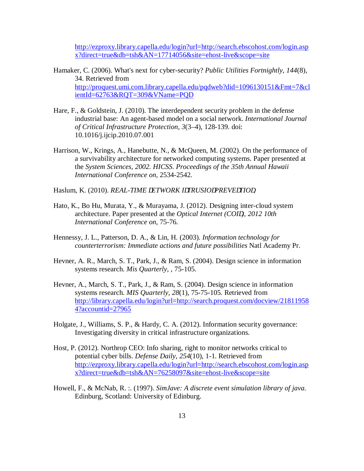x?direct=true&db=tsh&AN=17714056&site=ehost-live&scope=site http://ezproxy.library.capella.edu/login?url=http://search.ebscohost.com/login.asp

- x?direct=true&db=tsh&AN=17714056&site=ehost-live&scope=site Hamaker, C. (2006). What's next for cyber-security? *Public Utilities Fortnightly, 144*(8), 34. Retrieved from ientId=62763&RQT=309&VName=PQD http://proquest.umi.com.library.capella.edu/pqdweb?did=1096130151&Fmt=7&cl
- ientId=62763&RQT=309&VName=PQD<br>Hare, F., & Goldstein, J. (2010). The interdependent security problem in the defense industrial base: An agent-based model on a social network. *International Journal of Critical Infrastructure Protection, 3*(3–4), 128-139. doi: 10.1016/j.ijcip.2010.07.001 10.1016/j.ijcip.2010.07.001 Harrison, W., Krings, A., Hanebutte, N., & McQueen, M. (2002). On the performance of
- a survivability architecture for networked computing systems. Paper presented at  the *System Sciences, 2002. HICSS. Proceedings of the 35th Annual Hawaii International Conference on,* 2534-2542.
- Haslum, K. (2010). *REAL-TIME ETWORK I TRUSIO PREVE TIO*,
- Hato, K., Bo Hu, Murata, Y., & Murayama, J. (2012). Designing inter-cloud system architecture. Paper presented at the *Optical Internet (COI), 2012 10th International Conference on,* 75-76.
- Hennessy, J. L., Patterson, D. A., & Lin, H. (2003). *Information technology for counterterrorism: Immediate actions and future possibilities* Natl Academy Pr.
- Hevner, A. R., March, S. T., Park, J., & Ram, S. (2004). Design science in information  systems research. *Mis Quarterly,* , 75-105.
- Hevner, A., March, S. T., Park, J., & Ram, S. (2004). Design science in information  systems research. *MIS Quarterly, 28*(1), 75-75-105. Retrieved from 4?accountid=27965 4?accountid=27965<br>Holgate, J., Williams, S. P., & Hardy, C. A. (2012). Information security governance: http://library.capella.edu/login?url=http://search.proquest.com/docview/21811958
- Investigating diversity in critical infrastructure organizations.
- Host, P. (2012). Northrop CEO: Info sharing, right to monitor networks critical to potential cyber bills. *Defense Daily, 254*(10), 1-1. Retrieved from x?direct=true&db=tsh&AN=76258097&site=ehost-live&scope=site x?direct=true&db=tsh&AN=76258097&site=ehost-live&scope=site Howell, F., & McNab, R. :. (1997). *SimJave: A discrete event simulation library of java*. http://ezproxy.library.capella.edu/login?url=http://search.ebscohost.com/login.asp
- Edinburg, Scotland: University of Edinburg.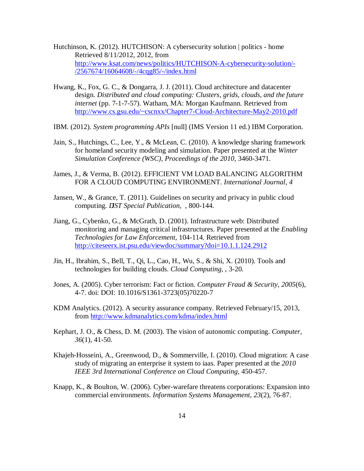- Hutchinson, K. (2012). HUTCHISON: A cybersecurity solution | politics home Retrieved 8/11/2012, 2012, from /2567674/16064608/-/4cqg85/-/index.html  $\frac{12567674}{16064608}{\text{/}4cqg85}{\text{/}4r}$  Hwang, K., Fox, G. C., & Dongarra, J. J. (2011). Cloud architecture and datacenter http://www.ksat.com/news/politics/HUTCHISON-A-cybersecurity-solution/-
- design. *Distributed and cloud computing: Clusters, grids, clouds, and the future internet* (pp. 7-1-7-57). Watham, MA: Morgan Kaufmann. Retrieved from http://www.cs.gsu.edu/~cscnxx/Chapter7-Cloud-Architecture-May2-2010.pdf
- IBM. (2012). *System programming APIs* [null] (IMS Version 11 ed.) IBM Corporation.
- Jain, S., Hutchings, C., Lee, Y., & McLean, C. (2010). A knowledge sharing framework for homeland security modeling and simulation. Paper presented at the *Winter Simulation Conference (WSC), Proceedings of the 2010,* 3460-3471.
- James, J., & Verma, B. (2012). EFFICIENT VM LOAD BALANCING ALGORITHM FOR A CLOUD COMPUTING ENVIRONMENT. *International Journal, 4*
- Jansen, W., & Grance, T. (2011). Guidelines on security and privacy in public cloud computing. *IST Special Publication*, , 800-144.
- Jiang, G., Cybenko, G., & McGrath, D. (2001). Infrastructure web: Distributed monitoring and managing critical infrastructures. Paper presented at the *Enabling Technologies for Law Enforcement,* 104-114. Retrieved from http://citeseerx.ist.psu.edu/viewdoc/summary?doi=10.1.1.124.2912
- Jin, H., Ibrahim, S., Bell, T., Qi, L., Cao, H., Wu, S., & Shi, X. (2010). Tools and technologies for building clouds. *Cloud Computing,* , 3-20.
- Jones, A. (2005). Cyber terrorism: Fact or fiction. *Computer Fraud & Security, 2005*(6), 4-7. doi: DOI: 10.1016/S1361-3723(05)70220-7
- KDM Analytics. (2012). A security assurance company. Retrieved February/15, 2013, from http://www.kdmanalytics.com/kdma/index.html
- Kephart, J. O., & Chess, D. M. (2003). The vision of autonomic computing. *Computer, 36*(1), 41-50.
- Khajeh-Hosseini, A., Greenwood, D., & Sommerville, I. (2010). Cloud migration: A case study of migrating an enterprise it system to iaas. Paper presented at the *2010 IEEE 3rd International Conference on Cloud Computing,* 450-457.
- Knapp, K., & Boulton, W. (2006). Cyber-warefare threatens corporations: Expansion into  commercial environments. *Information Systems Management, 23*(2), 76-87.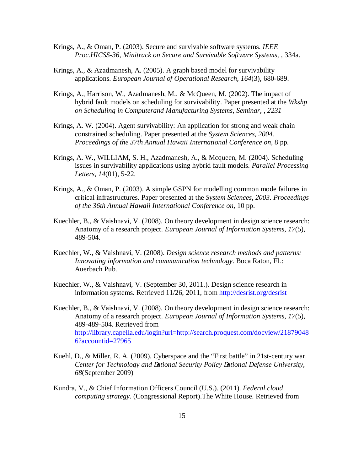- Krings, A., & Oman, P. (2003). Secure and survivable software systems. *IEEE Proc.HICSS-36, Minitrack on Secure and Survivable Software Systems,* , 334a.
- Krings, A., & Azadmanesh, A. (2005). A graph based model for survivability  applications. *European Journal of Operational Research, 164*(3), 680-689.
- Krings, A., Harrison, W., Azadmanesh, M., & McQueen, M. (2002). The impact of hybrid fault models on scheduling for survivability. Paper presented at the *Wkshp on Scheduling in Computerand Manufacturing Systems, Seminar, , 2231*
- Krings, A. W. (2004). Agent survivability: An application for strong and weak chain constrained scheduling. Paper presented at the *System Sciences, 2004. Proceedings of the 37th Annual Hawaii International Conference on,* 8 pp.
- Krings, A. W., WILLIAM, S. H., Azadmanesh, A., & Mcqueen, M. (2004). Scheduling issues in survivability applications using hybrid fault models. *Parallel Processing Letters, 14*(01), 5-22.
- Krings, A., & Oman, P. (2003). A simple GSPN for modelling common mode failures in critical infrastructures. Paper presented at the *System Sciences, 2003. Proceedings of the 36th Annual Hawaii International Conference on,* 10 pp.
- Kuechler, B., & Vaishnavi, V. (2008). On theory development in design science research: Anatomy of a research project. *European Journal of Information Systems, 17*(5), 489-504. 489-504. Kuechler, W., & Vaishnavi, V. (2008). *Design science research methods and patterns:*
- *Innovating information and communication technology*. Boca Raton, FL: Auerbach Pub.
- Kuechler, W., & Vaishnavi, V. (September 30, 2011.). Design science research in information systems. Retrieved 11/26, 2011, from http://desrist.org/desrist
- Kuechler, B., & Vaishnavi, V. (2008). On theory development in design science research: Anatomy of a research project. *European Journal of Information Systems, 17*(5), 489-489-504. Retrieved from 6?accountid=27965 6?accountid=27965<br>Kuehl, D., & Miller, R. A. (2009). Cyberspace and the "First battle" in 21st-century war. http://library.capella.edu/login?url=http://search.proquest.com/docview/21879048
- Center for Technology and ational Security Policy ational Defense University, *68*(September 2009)
- Kundra, V., & Chief Information Officers Council (U.S.). (2011). *Federal cloud computing strategy.* (Congressional Report).The White House. Retrieved from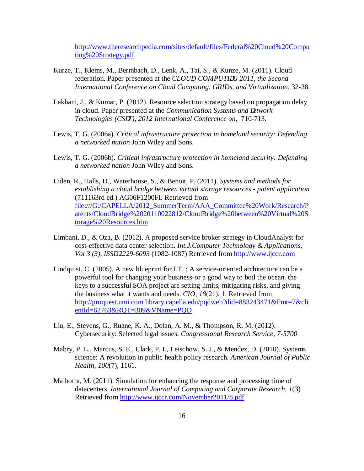ting%20Strategy.pdf http://www.theresearchpedia.com/sites/default/files/Federal%20Cloud%20Compu

- ting%20Strategy.pdf<br>Kurze, T., Klems, M., Bermbach, D., Lenk, A., Tai, S., & Kunze, M. (2011). Cloud federation. Paper presented at the *CLOUD COMPUTI G 2011, the Second International Conference on Cloud Computing, GRIDs, and Virtualization,* 32-38.
- Lakhani, J., & Kumar, P. (2012). Resource selection strategy based on propagation delay in cloud. Paper presented at the *Communication Systems and etwork* Technologies (CS T), 2012 International Conference on, 710-713.
- Lewis, T. G. (2006a). *Critical infrastructure protection in homeland security: Defending a networked nation* John Wiley and Sons.
- Lewis, T. G. (2006b). *Critical infrastructure protection in homeland security: Defending a networked nation* John Wiley and Sons.
- Liden, R., Halls, D., Waterhouse, S., & Benoit, P. (2011). *Systems and methods for establishing a cloud bridge between virtual storage resources - patent application*  (711163rd ed.) AG06F1200FI. Retrieved from torage%20Resources.htm torage%20Resources.htm<br>
Limbani, D., & Oza, B. (2012). A proposed service broker strategy in CloudAnalyst for file:///G:/CAPELLA/2012\_SummerTerm/AAA\_Committee%20Work/Research/P atents/CloudBridge%2020110022812/CloudBridge%20between%20Virtual%20S
- cost-effective data center selection. *Int.J.Computer Technology & Applications, Vol 3 (3), ISS* :2229-6093(1082-1087) Retrieved from http://www.ijccr.com
- Lindquist, C. (2005). A new blueprint for I.T. ; A service-oriented architecture can be a powerful tool for changing your business-or a good way to boil the ocean. the keys to a successful SOA project are setting limits, mitigating risks, and giving the business what it wants and needs. *CIO, 18*(21), 1. Retrieved from entId=62763&RQT=309&VName=PQD entId=62763&RQT=309&VName=PQD<br>Liu, E., Stevens, G., Ruane, K. A., Dolan, A. M., & Thompson, R. M. (2012). http://proquest.umi.com.library.capella.edu/pqdweb?did=883243471&Fmt=7&cli
- Cybersecurity: Selected legal issues. *Congressional Research Service, 7-5700*
- Mabry, P. L., Marcus, S. E., Clark, P. I., Leischow, S. J., & Mendez, D. (2010). Systems science: A revolution in public health policy research. *American Journal of Public Health, 100*(7), 1161.
- Malhotra, M. (2011). Simulation for enhancing the response and processing time of  datacenters. *International Journal of Computing and Corporate Research, 1*(3) Retrieved from http://www.ijccr.com/November2011/8.pdf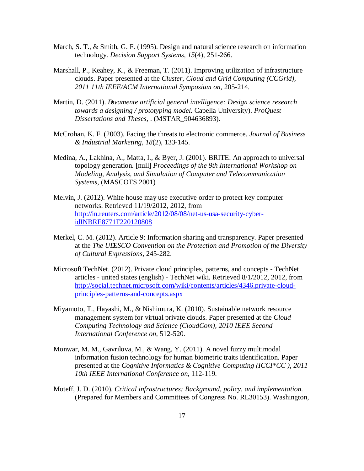- March, S. T., & Smith, G. F. (1995). Design and natural science research on information  technology. *Decision Support Systems, 15*(4), 251-266.
- Marshall, P., Keahey, K., & Freeman, T. (2011). Improving utilization of infrastructure clouds. Paper presented at the *Cluster, Cloud and Grid Computing (CCGrid), 2011 11th IEEE/ACM International Symposium on,* 205-214.
- Martin, D. (2011). *ovamente artificial general intelligence: Design science research towards a designing / prototyping model.* Capella University). *ProQuest Dissertations and Theses,* . (MSTAR\_904636893).
- McCrohan, K. F. (2003). Facing the threats to electronic commerce. *Journal of Business & Industrial Marketing, 18*(2), 133-145.
- Medina, A., Lakhina, A., Matta, I., & Byer, J. (2001). BRITE: An approach to universal topology generation. [null] *Proceedings of the 9th International Workshop on Modeling, Analysis, and Simulation of Computer and Telecommunication Systems,* (MASCOTS 2001)
- Melvin, J. (2012). White house may use executive order to protect key computer networks. Retrieved 11/19/2012, 2012, from idINBRE8771F220120808 http://in.reuters.com/article/2012/08/08/net-us-usa-security-cyber-
- idINBRE8771F220120808<br>Merkel, C. M. (2012). Article 9: Information sharing and transparency. Paper presented at the *The U ESCO Convention on the Protection and Promotion of the Diversity of Cultural Expressions,* 245-282.
- Microsoft TechNet. (2012). Private cloud principles, patterns, and concepts TechNet articles - united states (english) - TechNet wiki. Retrieved 8/1/2012, 2012, from principles-patterns-and-concepts.aspx principles-patterns-and-concepts.aspx<br>Miyamoto, T., Hayashi, M., & Nishimura, K. (2010). Sustainable network resource http://social.technet.microsoft.com/wiki/contents/articles/4346.private-cloud-
- management system for virtual private clouds. Paper presented at the *Cloud Computing Technology and Science (CloudCom), 2010 IEEE Second International Conference on,* 512-520.
- Monwar, M. M., Gavrilova, M., & Wang, Y. (2011). A novel fuzzy multimodal information fusion technology for human biometric traits identification. Paper presented at the *Cognitive Informatics & Cognitive Computing (ICCI\*CC ), 2011 10th IEEE International Conference on,* 112-119.
- Moteff, J. D. (2010). *Critical infrastructures: Background, policy, and implementation.*  (Prepared for Members and Committees of Congress No. RL30153). Washington,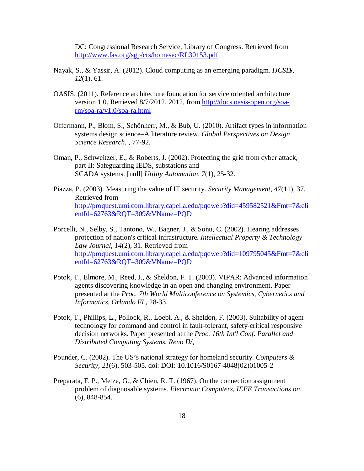DC: Congressional Research Service, Library of Congress. Retrieved from http://www.fas.org/sgp/crs/homesec/RL30153.pdf

- http://www.fas.org/sgp/crs/homesec/RL30153.pdf<br>Nayak, S., & Yassir, A. (2012). Cloud computing as an emerging paradigm. *IJCS S, 12*(1), 61.
- OASIS. (2011). Reference architecture foundation for service oriented architecture version 1.0. Retrieved 8/7/2012, 2012, from http://docs.oasis-open.org/soa $rm/soa-ra/v1.0/soa-ra.html$
- rm/soa-ra/v1.0/soa-ra.html<br>Offermann, P., Blom, S., Schönherr, M., & Bub, U. (2010). Artifact types in information systems design science–A literature review. *Global Perspectives on Design Science Research,* , 77-92.
- Oman, P., Schweitzer, E., & Roberts, J. (2002). Protecting the grid from cyber attack, part II: Safeguarding IEDS, substations and SCADA systems. [null] *Utility Automation, 7*(1), 25-32.
- Piazza, P. (2003). Measuring the value of IT security. *Security Management, 47*(11), 37. Retrieved from entId=62763&RQT=309&VName=PQD entId=62763&RQT=309&VName=PQD<br>Porcelli, N., Selby, S., Tantono, W., Bagner, J., & Sonu, C. (2002). Hearing addresses http://proquest.umi.com.library.capella.edu/pqdweb?did=459582521&Fmt=7&cli
- protection of nation's critical infrastructure. *Intellectual Property & Technology Law Journal, 14*(2), 31. Retrieved from entId= $62763$ &RQT= $309$ &VName=PQD http://proquest.umi.com.library.capella.edu/pqdweb?did=109795045&Fmt=7&cli
- entId=62763&RQT=309&VName=PQD<br>Potok, T., Elmore, M., Reed, J., & Sheldon, F. T. (2003). VIPAR: Advanced information agents discovering knowledge in an open and changing environment. Paper presented at the *Proc. 7th World Multiconference on Systemics, Cybernetics and Informatics, Orlando FL,* 28-33.
- Potok, T., Phillips, L., Pollock, R., Loebl, A., & Sheldon, F. (2003). Suitability of agent technology for command and control in fault-tolerant, safety-critical responsive decision networks. Paper presented at the *Proc. 16th Int'l Conf. Parallel and*  Distributed Computing Systems, Reno V,
- Pounder, C. (2002). The US's national strategy for homeland security. *Computers & Security, 21*(6), 503-505. doi: DOI: 10.1016/S0167-4048(02)01005-2
- Preparata, F. P., Metze, G., & Chien, R. T. (1967). On the connection assignment problem of diagnosable systems. *Electronic Computers, IEEE Transactions on,*  (6), 848-854.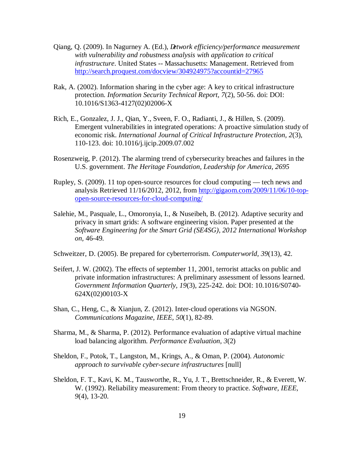- Qiang, Q. (2009). In Nagurney A. (Ed.), *D etwork efficiency/performance measurement with vulnerability and robustness analysis with application to critical infrastructure*. United States -- Massachusetts: Management. Retrieved from http://search.proquest.com/docview/304924975?accountid=27965 http://search.proquest.com/docview/304924975?accountid=27965<br>Rak, A. (2002). Information sharing in the cyber age: A key to critical infrastructure
- protection. *Information Security Technical Report, 7*(2), 50-56. doi: DOI: 10.1016/S1363-4127(02)02006-X 10.1016/S1363-4127(02)02006-X Rich, E., Gonzalez, J. J., Qian, Y., Sveen, F. O., Radianti, J., & Hillen, S. (2009).
- Emergent vulnerabilities in integrated operations: A proactive simulation study of  economic risk. *International Journal of Critical Infrastructure Protection, 2*(3), 110-123. doi: 10.1016/j.ijcip.2009.07.002
- Rosenzweig, P. (2012). The alarming trend of cybersecurity breaches and failures in the  U.S. government. *The Heritage Foundation, Leadership for America, 2695*
- Rupley, S. (2009). 11 top open-source resources for cloud computing tech news and analysis Retrieved 11/16/2012, 2012, from http://gigaom.com/2009/11/06/10-topopen-source-resources-for-cloud-computing/ open-source-resources-for-cloud-computing/<br>Salehie, M., Pasquale, L., Omoronyia, I., & Nuseibeh, B. (2012). Adaptive security and
- privacy in smart grids: A software engineering vision. Paper presented at the  *Software Engineering for the Smart Grid (SE4SG), 2012 International Workshop*  on, 46-49. *on,* 46-49. Schweitzer, D. (2005). Be prepared for cyberterrorism. *Computerworld, 39*(13), 42.

- Seifert, J. W. (2002). The effects of september 11, 2001, terrorist attacks on public and private information infrastructures: A preliminary assessment of lessons learned.  *Government Information Quarterly, 19*(3), 225-242. doi: DOI: 10.1016/S0740- 624X(02)00103-X
- 624X(02)00103-X Shan, C., Heng, C., & Xianjun, Z. (2012). Inter-cloud operations via NGSON.  *Communications Magazine, IEEE, 50*(1), 82-89.
- Sharma, M., & Sharma, P. (2012). Performance evaluation of adaptive virtual machine load balancing algorithm. *Performance Evaluation, 3*(2)
- Sheldon, F., Potok, T., Langston, M., Krings, A., & Oman, P. (2004). *Autonomic approach to survivable cyber-secure infrastructures* [null]
- Sheldon, F. T., Kavi, K. M., Tausworthe, R., Yu, J. T., Brettschneider, R., & Everett, W. W. (1992). Reliability measurement: From theory to practice. *Software, IEEE, 9*(4), 13-20.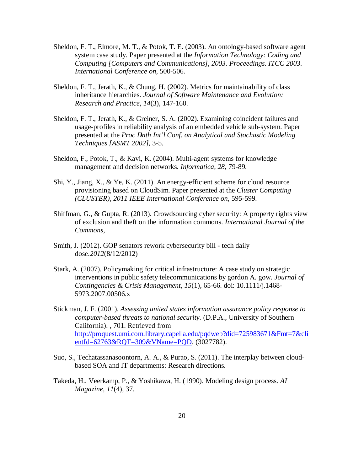- Sheldon, F. T., Elmore, M. T., & Potok, T. E. (2003). An ontology-based software agent system case study. Paper presented at the *Information Technology: Coding and Computing [Computers and Communications], 2003. Proceedings. ITCC 2003. International Conference on,* 500-506.
- Sheldon, F. T., Jerath, K., & Chung, H. (2002). Metrics for maintainability of class  inheritance hierarchies. *Journal of Software Maintenance and Evolution: Research and Practice, 14*(3), 147-160.
- Sheldon, F. T., Jerath, K., & Greiner, S. A. (2002). Examining coincident failures and usage-profiles in reliability analysis of an embedded vehicle sub-system. Paper presented at the *Proc* inth Int'l Conf. on Analytical and Stochastic Modeling  *Techniques [ASMT 2002],* 3-5.
- Sheldon, F., Potok, T., & Kavi, K. (2004). Multi-agent systems for knowledge management and decision networks. *Informatica, 28*, 79-89.
- Shi, Y., Jiang, X., & Ye, K. (2011). An energy-efficient scheme for cloud resource provisioning based on CloudSim. Paper presented at the *Cluster Computing (CLUSTER), 2011 IEEE International Conference on,* 595-599.
- Shiffman, G., & Gupta, R. (2013). Crowdsourcing cyber security: A property rights view of exclusion and theft on the information commons. *International Journal of the Commons,*
- Smith, J. (2012). GOP senators rework cybersecurity bill tech daily dose.2012(8/12/2012)
- dose.2012(8/12/2012)<br>Stark, A. (2007). Policymaking for critical infrastructure: A case study on strategic interventions in public safety telecommunications by gordon A. gow. *Journal of Contingencies & Crisis Management, 15*(1), 65-66. doi: 10.1111/j.1468- 5973.2007.00506.x 5973.2007.00506.x Stickman, J. F. (2001). *Assessing united states information assurance policy response to*
- *computer-based threats to national security.* (D.P.A., University of Southern California). , 701. Retrieved from entId=62763&RQT=309&VName=PQD. (3027782). http://proquest.umi.com.library.capella.edu/pqdweb?did=725983671&Fmt=7&cli
- Suo, S., Techatassanasoontorn, A. A., & Purao, S. (2011). The interplay between cloud-based SOA and IT departments: Research directions.
- Takeda, H., Veerkamp, P., & Yoshikawa, H. (1990). Modeling design process. *AI Magazine, 11*(4), 37.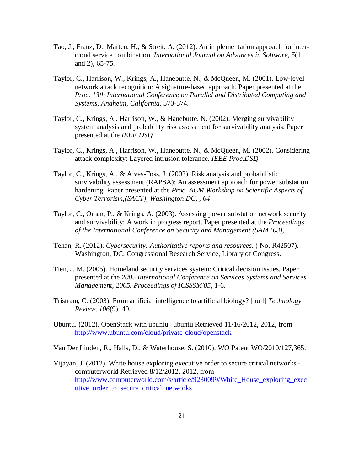- Tao, J., Franz, D., Marten, H., & Streit, A. (2012). An implementation approach for inter- cloud service combination. *International Journal on Advances in Software, 5*(1 and 2), 65-75.
- Taylor, C., Harrison, W., Krings, A., Hanebutte, N., & McQueen, M. (2001). Low-level network attack recognition: A signature-based approach. Paper presented at the  *Proc. 13th International Conference on Parallel and Distributed Computing and Systems, Anaheim, California,* 570-574.
- Taylor, C., Krings, A., Harrison, W., & Hanebutte, N. (2002). Merging survivability system analysis and probability risk assessment for survivability analysis. Paper presented at the *IEEE DS*,
- Taylor, C., Krings, A., Harrison, W., Hanebutte, N., & McQueen, M. (2002). Considering attack complexity: Layered intrusion tolerance. *IEEE Proc.DS*,
- Taylor, C., Krings, A., & Alves-Foss, J. (2002). Risk analysis and probabilistic survivability assessment (RAPSA): An assessment approach for power substation hardening. Paper presented at the *Proc. ACM Workshop on Scientific Aspects of Cyber Terrorism,(SACT), Washington DC, , 64*
- Taylor, C., Oman, P., & Krings, A. (2003). Assessing power substation network security and survivability: A work in progress report. Paper presented at the *Proceedings of the International Conference on Security and Management (SAM '03),*
- Tehan, R. (2012). *Cybersecurity: Authoritative reports and resources.* ( No. R42507). Washington, DC: Congressional Research Service, Library of Congress.
- Tien, J. M. (2005). Homeland security services system: Critical decision issues. Paper presented at the *2005 International Conference on Services Systems and Services Management, 2005. Proceedings of ICSSSM'05,* 1-6.
- Tristram, C. (2003). From artificial intelligence to artificial biology? [null] *Technology Review, 106*(9), 40.
- Ubuntu. (2012). OpenStack with ubuntu | ubuntu Retrieved 11/16/2012, 2012, from http://www.ubuntu.com/cloud/private-cloud/openstack http://www.ubuntu.com/cloud/private-cloud/openstack<br>Van Der Linden, R., Halls, D., & Waterhouse, S. (2010). WO Patent WO/2010/127,365.
- 
- Vijayan, J. (2012). White house exploring executive order to secure critical networks computerworld Retrieved 8/12/2012, 2012, from utive\_order\_to\_secure\_critical\_networks 21 http://www.computerworld.com/s/article/9230099/White\_House\_exploring\_exec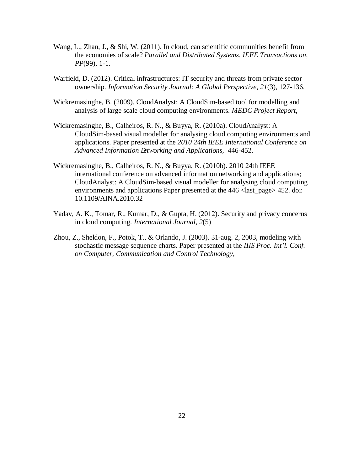- Wang, L., Zhan, J., & Shi, W. (2011). In cloud, can scientific communities benefit from the economies of scale? *Parallel and Distributed Systems, IEEE Transactions on, PP*(99), 1-1.
- Warfield, D. (2012). Critical infrastructures: IT security and threats from private sector  ownership. *Information Security Journal: A Global Perspective, 21*(3), 127-136.
- Wickremasinghe, B. (2009). CloudAnalyst: A CloudSim-based tool for modelling and analysis of large scale cloud computing environments. *MEDC Project Report,*
- Wickremasinghe, B., Calheiros, R. N., & Buyya, R. (2010a). CloudAnalyst: A CloudSim-based visual modeller for analysing cloud computing environments and applications. Paper presented at the *2010 24th IEEE International Conference on*  Advanced Information etworking and Applications, 446-452.
- Wickremasinghe, B., Calheiros, R. N., & Buyya, R. (2010b). 2010 24th IEEE international conference on advanced information networking and applications; CloudAnalyst: A CloudSim-based visual modeller for analysing cloud computing environments and applications Paper presented at the 446 <last\_page> 452. doi: 10.1109/AINA.2010.32 10.1109/AINA.2010.32 Yadav, A. K., Tomar, R., Kumar, D., & Gupta, H. (2012). Security and privacy concerns
- in cloud computing. *International Journal, 2*(5)
- Zhou, Z., Sheldon, F., Potok, T., & Orlando, J. (2003). 31-aug. 2, 2003, modeling with stochastic message sequence charts. Paper presented at the *IIIS Proc. Int'l. Conf. on Computer, Communication and Control Technology,*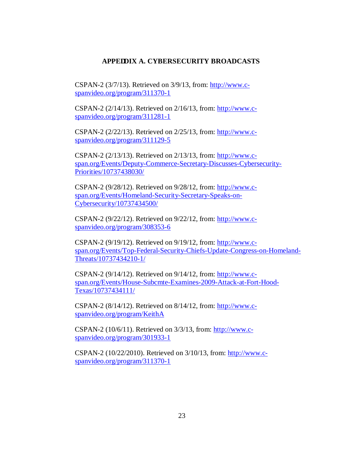# **APPED DIX A. CYBERSECURITY BROADCASTS**

CSPAN-2 (3/7/13). Retrieved on 3/9/13, from: http://www.cspanvideo.org/program/311370-1

CSPAN-2 (2/14/13). Retrieved on 2/16/13, from: http://www.cspanvideo.org/program/311281-1

CSPAN-2 (2/22/13). Retrieved on 2/25/13, from: http://www.cspanvideo.org/program/311129-5

CSPAN-2 (2/13/13). Retrieved on 2/13/13, from: http://www.cspan.org/Events/Deputy-Commerce-Secretary-Discusses-Cybersecurity-Priorities/10737438030/

CSPAN-2 (9/28/12). Retrieved on 9/28/12, from: http://www.cspan.org/Events/Homeland-Security-Secretary-Speaks-on-Cybersecurity/10737434500/

CSPAN-2 (9/22/12). Retrieved on 9/22/12, from: http://www.cspanvideo.org/program/308353-6

CSPAN-2 (9/19/12). Retrieved on 9/19/12, from: http://www.cspan.org/Events/Top-Federal-Security-Chiefs-Update-Congress-on-Homeland-Threats/10737434210-1/

CSPAN-2 (9/14/12). Retrieved on 9/14/12, from: http://www.cspan.org/Events/House-Subcmte-Examines-2009-Attack-at-Fort-Hood-Texas/10737434111/

CSPAN-2 (8/14/12). Retrieved on 8/14/12, from: http://www.cspanvideo.org/program/KeithA

CSPAN-2 (10/6/11). Retrieved on 3/3/13, from: http://www.cspanvideo.org/program/301933-1

CSPAN-2 (10/22/2010). Retrieved on 3/10/13, from: http://www.cspanvideo.org/program/311370-1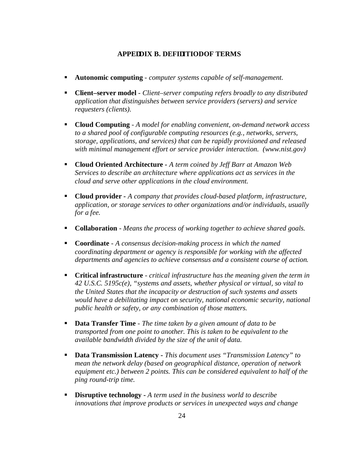# **APPE DIX B. DEFI ITIO OF TERMS**

- **Autonomic computing** *computer systems capable of self-management.*
- **Client–server model** *Client–server computing refers broadly to any distributed application that distinguishes between service providers (servers) and service requesters (clients).*
- **Cloud Computing**  *A model for enabling convenient, on-demand network access to a shared pool of configurable computing resources (e.g., networks, servers, storage, applications, and services) that can be rapidly provisioned and released*  with minimal management effort or service provider interaction. (www.nist.gov)
- **Cloud Oriented Architecture**  *A term coined by Jeff Barr at Amazon Web Services to describe an architecture where applications act as services in the cloud and serve other applications in the cloud environment.*
- **Cloud provider -** *A company that provides cloud-based platform, infrastructure, application, or storage services to other organizations and/or individuals, usually for a fee.*
- **Collaboration** *Means the process of working together to achieve shared goals.*
- **Coordinate** *A consensus decision-making process in which the named coordinating department or agency is responsible for working with the affected departments and agencies to achieve consensus and a consistent course of action.*
- **Critical infrastructure** *critical infrastructure has the meaning given the term in 42 U.S.C. 5195c(e), "systems and assets, whether physical or virtual, so vital to the United States that the incapacity or destruction of such systems and assets*  would have a debilitating impact on security, national economic security, national  *public health or safety, or any combination of those matters.*
- **Data Transfer Time** *The time taken by a given amount of data to be transported from one point to another. This is taken to be equivalent to the available bandwidth divided by the size of the unit of data.*
- **Data Transmission Latency -** *This document uses "Transmission Latency" to mean the network delay (based on geographical distance, operation of network equipment etc.) between 2 points. This can be considered equivalent to half of the ping round-trip time.*
- **Disruptive technology -** *A term used in the business world to describe innovations that improve products or services in unexpected ways and change*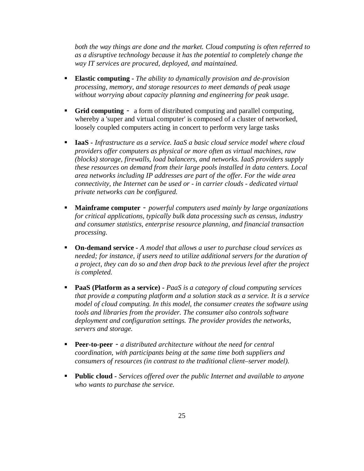*both the way things are done and the market. Cloud computing is often referred to as a disruptive technology because it has the potential to completely change the way IT services are procured, deployed, and maintained.* 

- **Elastic computing -** *The ability to dynamically provision and de-provision processing, memory, and storage resources to meet demands of peak usage without worrying about capacity planning and engineering for peak usage.*
- **Grid computing -** a form of distributed computing and parallel computing, whereby a 'super and virtual computer' is composed of a cluster of networked, loosely coupled computers acting in concert to perform very large tasks
- **IaaS**  *Infrastructure as a service. IaaS a basic cloud service model where cloud providers offer computers as physical or more often as virtual machines, raw (blocks) storage, firewalls, load balancers, and networks. IaaS providers supply these resources on demand from their large pools installed in data centers. Local area networks including IP addresses are part of the offer. For the wide area connectivity, the Internet can be used or - in carrier clouds - dedicated virtual private networks can be configured.*
- **Mainframe computer** *powerful computers used mainly by large organizations for critical applications, typically bulk data processing such as census, industry and consumer statistics, enterprise resource planning, and financial transaction processing.*
- **On-demand service -** *A model that allows a user to purchase cloud services as needed; for instance, if users need to utilize additional servers for the duration of a project, they can do so and then drop back to the previous level after the project is completed.*
- **PaaS (Platform as a service)**  *PaaS is a category of cloud computing services that provide a computing platform and a solution stack as a service. It is a service model of cloud computing. In this model, the consumer creates the software using tools and libraries from the provider. The consumer also controls software*  deployment and configuration settings. The provider provides the networks,  *servers and storage.*
- **Peer-to-peer** *a distributed architecture without the need for central coordination, with participants being at the same time both suppliers and consumers of resources (in contrast to the traditional client–server model).*
- **Public cloud -** *Services offered over the public Internet and available to anyone who wants to purchase the service.*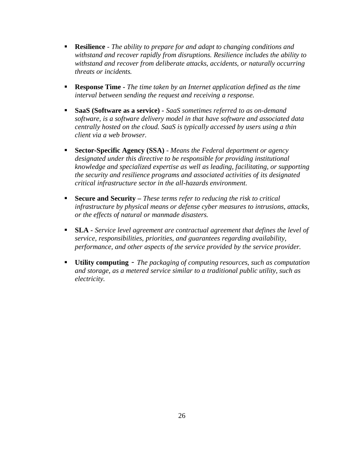- **Resilience**  *The ability to prepare for and adapt to changing conditions and withstand and recover rapidly from disruptions. Resilience includes the ability to*  withstand and recover from deliberate attacks, accidents, or naturally occurring  *threats or incidents.*
- **Response Time -** *The time taken by an Internet application defined as the time interval between sending the request and receiving a response.*
- **SaaS (Software as a service) -** SaaS sometimes referred to as on-demand  *software, is a software delivery model in that have software and associated data centrally hosted on the cloud. SaaS is typically accessed by users using a thin client via a web browser.*
- **EXECT-Specific Agency (SSA)**  *Means the Federal department or agency* **Fig. 2.** designated under this directive to be responsible for providing institutional  *knowledge and specialized expertise as well as leading, facilitating, or supporting the security and resilience programs and associated activities of its designated critical infrastructure sector in the all-hazards environment.*
- **Example 3 Secure and Security** *These terms refer to reducing the risk to critical infrastructure by physical means or defense cyber measures to intrusions, attacks, or the effects of natural or manmade disasters.*
- **SLA**  *Service level agreement are contractual agreement that defines the level of service, responsibilities, priorities, and guarantees regarding availability, performance, and other aspects of the service provided by the service provider.*
- **Utility computing -** *The packaging of computing resources, such as computation and storage, as a metered service similar to a traditional public utility, such as electricity.*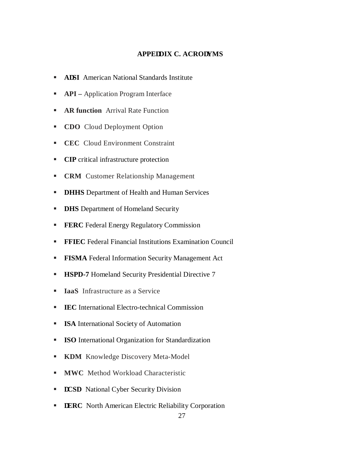# **APPE DIX C. ACRO YMS**

- **A** SI American National Standards Institute
- **API** Application Program Interface
- **AR function** Arrival Rate Function
- **CDO** Cloud Deployment Option
- **CEC** Cloud Environment Constraint
- **CIP** critical infrastructure protection
- **CRM** Customer Relationship Management
- **DHHS** Department of Health and Human Services
- **DHS** Department of Homeland Security
- **FERC** Federal Energy Regulatory Commission
- **FFIEC** Federal Financial Institutions Examination Council
- **FISMA** Federal Information Security Management Act
- **HSPD-7** Homeland Security Presidential Directive 7
- **IaaS** Infrastructure as a Service
- **EC** International Electro-technical Commission
- � **ISA** International Society of Automation
- � **ISO** International Organization for Standardization
- **EXDM** Knowledge Discovery Meta-Model
- **MWC** Method Workload Characteristic
- **CSD** National Cyber Security Division
- **ERC** North American Electric Reliability Corporation